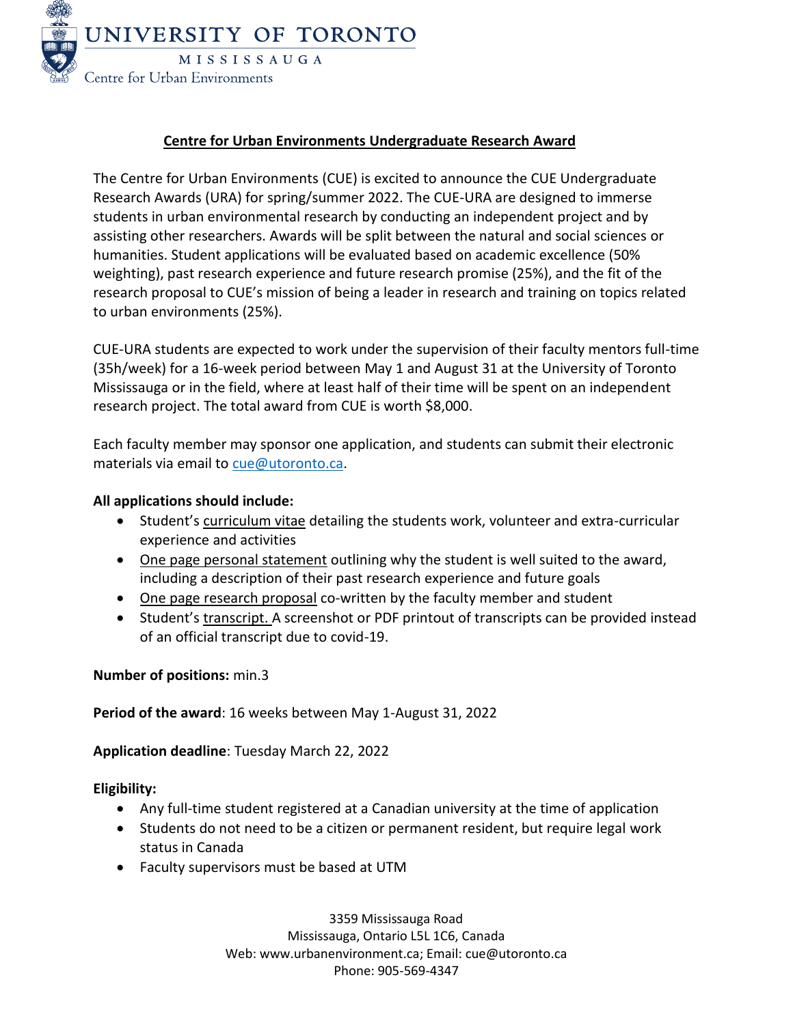

# **Centre for Urban Environments Undergraduate Research Award**

The Centre for Urban Environments (CUE) is excited to announce the CUE Undergraduate Research Awards (URA) for spring/summer 2022. The CUE-URA are designed to immerse students in urban environmental research by conducting an independent project and by assisting other researchers. Awards will be split between the natural and social sciences or humanities. Student applications will be evaluated based on academic excellence (50% weighting), past research experience and future research promise (25%), and the fit of the research proposal to CUE's mission of being a leader in research and training on topics related to urban environments (25%).

CUE-URA students are expected to work under the supervision of their faculty mentors full-time (35h/week) for a 16-week period between May 1 and August 31 at the University of Toronto Mississauga or in the field, where at least half of their time will be spent on an independent research project. The total award from CUE is worth \$8,000.

Each faculty member may sponsor one application, and students can submit their electronic materials via email to [cue@utoronto.ca.](mailto:cue@utoronto.ca)

# **All applications should include:**

- Student's curriculum vitae detailing the students work, volunteer and extra-curricular experience and activities
- One page personal statement outlining why the student is well suited to the award, including a description of their past research experience and future goals
- One page research proposal co-written by the faculty member and student
- Student's transcript. A screenshot or PDF printout of transcripts can be provided instead of an official transcript due to covid-19.

## **Number of positions:** min.3

**Period of the award**: 16 weeks between May 1-August 31, 2022

**Application deadline**: Tuesday March 22, 2022

## **Eligibility:**

- Any full-time student registered at a Canadian university at the time of application
- Students do not need to be a citizen or permanent resident, but require legal work status in Canada
- Faculty supervisors must be based at UTM

3359 Mississauga Road Mississauga, Ontario L5L 1C6, Canada Web[: www.urbanenvironment.ca;](http://www.urbanenvironment.ca/) Email: [cue@utoronto.ca](mailto:cue@utoronto.ca) Phone: 905-569-4347